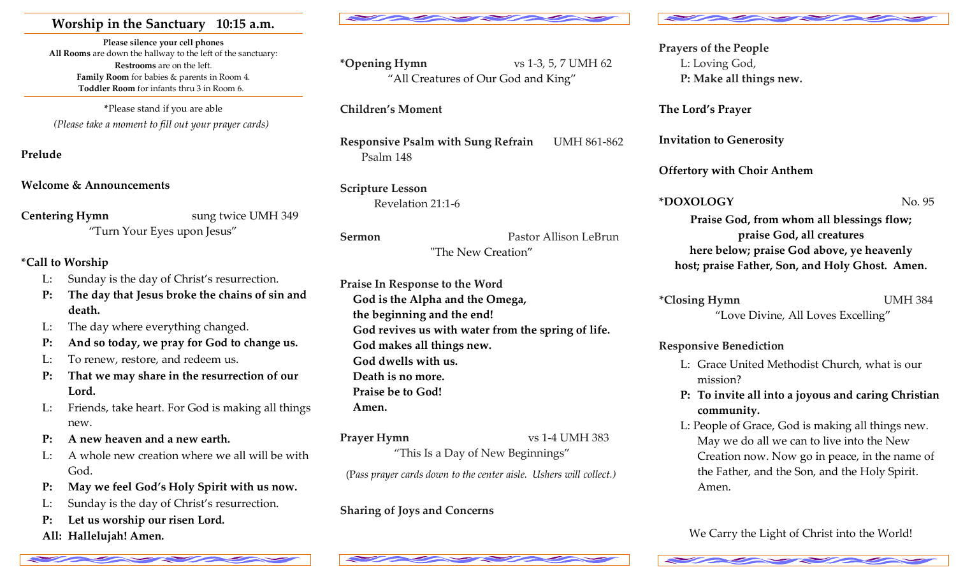# **Worship in the Sanctuary 10:15 a.m.**

**Please silence your cell phones All Rooms** are down the hallway to the left of the sanctuary: **Restrooms** are on the left.**Family Room** for babies & parents in Room 4. **Toddler Room** for infants thru 3 in Room 6.

**\***Please stand if you are able *(Please take a moment to fill out your prayer cards)*

**Prelude** 

**Welcome & Announcements** 

**Centering Hymn** sung twice UMH 349 "Turn Your Eyes upon Jesus"

# **\*Call to Worship**

- L: Sunday is the day of Christ's resurrection.
- **P: The day that Jesus broke the chains of sin and death.**
- L: The day where everything changed.
- **P: And so today, we pray for God to change us.**
- L: To renew, restore, and redeem us.
- **P: That we may share in the resurrection of our Lord.**
- L: Friends, take heart. For God is making all things new.
- **P: A new heaven and a new earth.**
- L: A whole new creation where we all will be with God.
- **P: May we feel God's Holy Spirit with us now.**
- L: Sunday is the day of Christ's resurrection.
- **P: Let us worship our risen Lord.**
- **All: Hallelujah! Amen.**



**\*Opening Hymn** vs 1-3, 5, 7 UMH 62 "All Creatures of Our God and King"

**Children's Moment** 

**Responsive Psalm with Sung Refrain** UMH 861-862 Psalm 148

**Scripture Lesson**  Revelation 21:1-6

**Sermon** Pastor Allison LeBrun

# "The New Creation"

**Praise In Response to the Word God is the Alpha and the Omega, the beginning and the end! God revives us with water from the spring of life. God makes all things new. God dwells with us. Death is no more. Praise be to God! Amen.**

"This Is a Day of New Beginnings"

(P*ass prayer cards down to the center aisle. Ushers will collect.)* 

**Sharing of Joys and Concerns** 





**Prayers of the People**  L: Loving God, **P: Make all things new.** 

**The Lord's Prayer** 

**Invitation to Generosity** 

**Offertory with Choir Anthem** 

**\*DOXOLOGY** No. 95

**Praise God, from whom all blessings flow; praise God, all creatures here below; praise God above, ye heavenly host; praise Father, Son, and Holy Ghost. Amen.** 

**\*Closing Hymn** UMH 384 "Love Divine, All Loves Excelling"

**Responsive Benediction** 

- L: Grace United Methodist Church, what is our mission?
- **P: To invite all into a joyous and caring Christian community.**
- L: People of Grace, God is making all things new. May we do all we can to live into the New Creation now. Now go in peace, in the name of the Father, and the Son, and the Holy Spirit. Amen.

We Carry the Light of Christ into the World!



**Prayer Hymn** vs 1-4 UMH 383